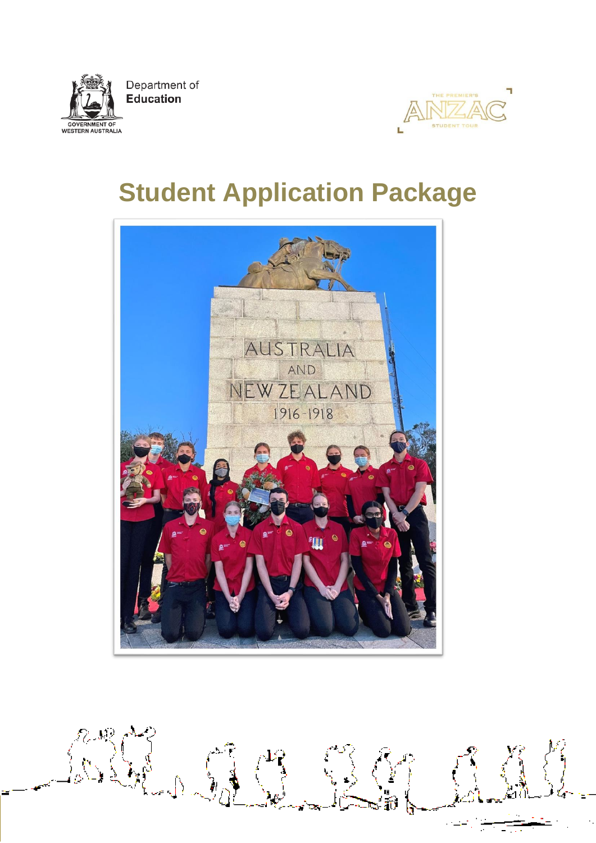

**STUDENT TOU** 

# **Student Application Package**

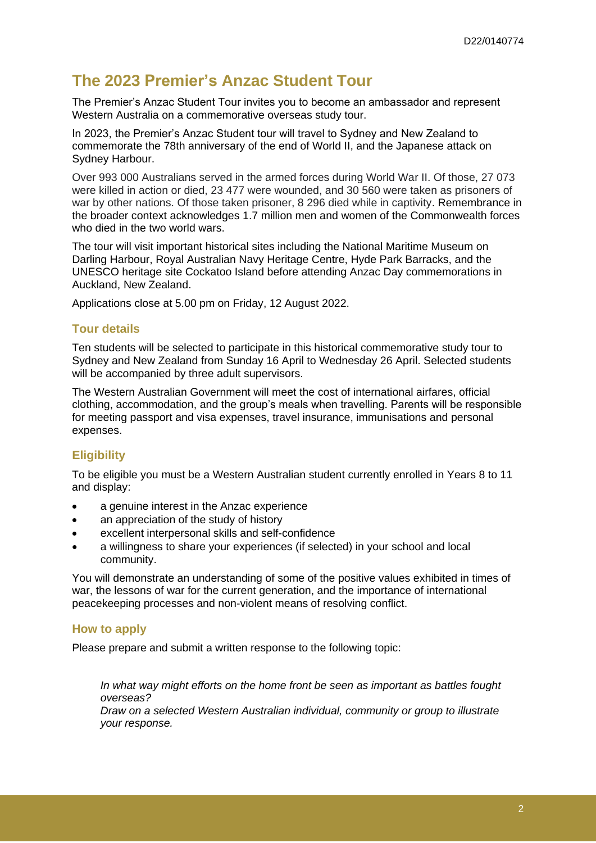# **The 2023 Premier's Anzac Student Tour**

The Premier's Anzac Student Tour invites you to become an ambassador and represent Western Australia on a commemorative overseas study tour.

In 2023, the Premier's Anzac Student tour will travel to Sydney and New Zealand to commemorate the 78th anniversary of the end of World II, and the Japanese attack on Sydney Harbour.

Over 993 000 Australians served in the armed forces during World War II. Of those, 27 073 were killed in action or died, 23 477 were wounded, and 30 560 were taken as prisoners of war by other nations. Of those taken prisoner, 8 296 died while in captivity. Remembrance in the broader context acknowledges 1.7 million men and women of the Commonwealth forces who died in the two world wars.

The tour will visit important historical sites including the National Maritime Museum on Darling Harbour, Royal Australian Navy Heritage Centre, Hyde Park Barracks, and the UNESCO heritage site Cockatoo Island before attending Anzac Day commemorations in Auckland, New Zealand.

Applications close at 5.00 pm on Friday, 12 August 2022.

#### **Tour details**

Ten students will be selected to participate in this historical commemorative study tour to Sydney and New Zealand from Sunday 16 April to Wednesday 26 April. Selected students will be accompanied by three adult supervisors.

The Western Australian Government will meet the cost of international airfares, official clothing, accommodation, and the group's meals when travelling. Parents will be responsible for meeting passport and visa expenses, travel insurance, immunisations and personal expenses.

#### **Eligibility**

To be eligible you must be a Western Australian student currently enrolled in Years 8 to 11 and display:

- a genuine interest in the Anzac experience
- an appreciation of the study of history
- excellent interpersonal skills and self-confidence
- a willingness to share your experiences (if selected) in your school and local community.

You will demonstrate an understanding of some of the positive values exhibited in times of war, the lessons of war for the current generation, and the importance of international peacekeeping processes and non-violent means of resolving conflict.

#### **How to apply**

Please prepare and submit a written response to the following topic:

*In what way might efforts on the home front be seen as important as battles fought overseas?*

*Draw on a selected Western Australian individual, community or group to illustrate your response.*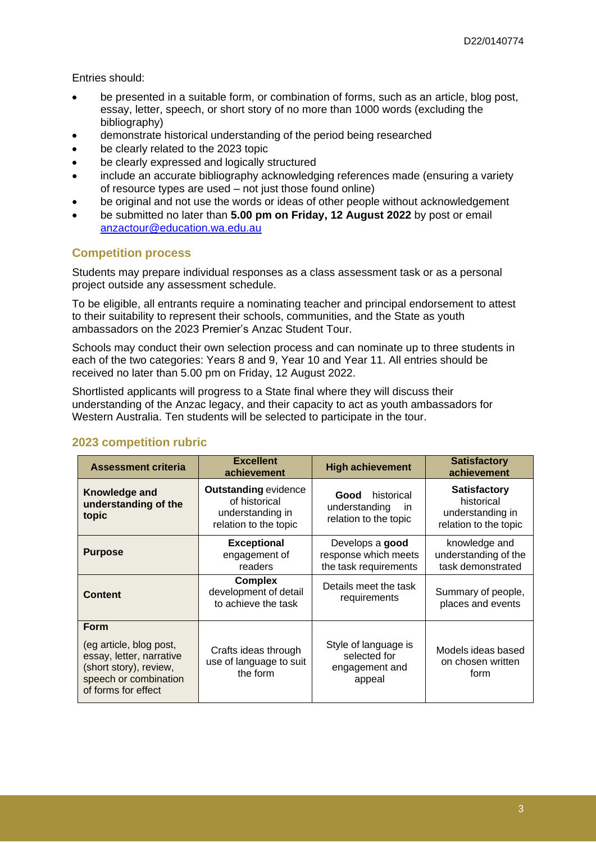Entries should:

- be presented in a suitable form, or combination of forms, such as an article, blog post, essay, letter, speech, or short story of no more than 1000 words (excluding the bibliography)
- demonstrate historical understanding of the period being researched
- be clearly related to the 2023 topic
- be clearly expressed and logically structured
- include an accurate bibliography acknowledging references made (ensuring a variety of resource types are used – not just those found online)
- be original and not use the words or ideas of other people without acknowledgement
- be submitted no later than **5.00 pm on Friday, 12 August 2022** by post or email [anzactour@education.wa.edu.au](mailto:anzactour@education.wa.edu.au)

### **Competition process**

Students may prepare individual responses as a class assessment task or as a personal project outside any assessment schedule.

To be eligible, all entrants require a nominating teacher and principal endorsement to attest to their suitability to represent their schools, communities, and the State as youth ambassadors on the 2023 Premier's Anzac Student Tour.

Schools may conduct their own selection process and can nominate up to three students in each of the two categories: Years 8 and 9, Year 10 and Year 11. All entries should be received no later than 5.00 pm on Friday, 12 August 2022.

Shortlisted applicants will progress to a State final where they will discuss their understanding of the Anzac legacy, and their capacity to act as youth ambassadors for Western Australia. Ten students will be selected to participate in the tour.

| <b>Assessment criteria</b>                                                                                                                   | <b>Excellent</b><br>achievement                                                           | <b>High achievement</b>                                             | <b>Satisfactory</b><br>achievement                                             |
|----------------------------------------------------------------------------------------------------------------------------------------------|-------------------------------------------------------------------------------------------|---------------------------------------------------------------------|--------------------------------------------------------------------------------|
| Knowledge and<br>understanding of the<br>topic                                                                                               | <b>Outstanding evidence</b><br>of historical<br>understanding in<br>relation to the topic | historical<br>Good<br>understanding<br>in.<br>relation to the topic | <b>Satisfactory</b><br>historical<br>understanding in<br>relation to the topic |
| <b>Purpose</b>                                                                                                                               | <b>Exceptional</b><br>engagement of<br>readers                                            | Develops a good<br>response which meets<br>the task requirements    | knowledge and<br>understanding of the<br>task demonstrated                     |
| <b>Content</b>                                                                                                                               | <b>Complex</b><br>development of detail<br>to achieve the task                            | Details meet the task<br>requirements                               | Summary of people,<br>places and events                                        |
| <b>Form</b><br>(eg article, blog post,<br>essay, letter, narrative<br>(short story), review,<br>speech or combination<br>of forms for effect | Crafts ideas through<br>use of language to suit<br>the form                               | Style of language is<br>selected for<br>engagement and<br>appeal    | Models ideas based<br>on chosen written<br>form                                |

### **2023 competition rubric**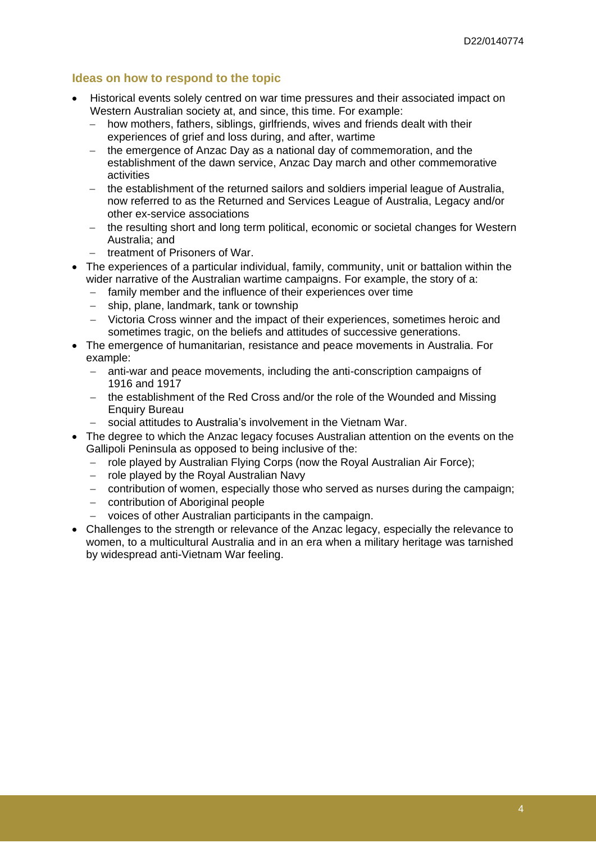### **Ideas on how to respond to the topic**

- Historical events solely centred on war time pressures and their associated impact on Western Australian society at, and since, this time. For example:
	- − how mothers, fathers, siblings, girlfriends, wives and friends dealt with their experiences of grief and loss during, and after, wartime
	- − the emergence of Anzac Day as a national day of commemoration, and the establishment of the dawn service, Anzac Day march and other commemorative activities
	- − the establishment of the returned sailors and soldiers imperial league of Australia, now referred to as the Returned and Services League of Australia, Legacy and/or other ex-service associations
	- − the resulting short and long term political, economic or societal changes for Western Australia; and
	- − treatment of Prisoners of War.
- The experiences of a particular individual, family, community, unit or battalion within the wider narrative of the Australian wartime campaigns. For example, the story of a:
	- − family member and the influence of their experiences over time
	- − ship, plane, landmark, tank or township
	- − Victoria Cross winner and the impact of their experiences, sometimes heroic and sometimes tragic, on the beliefs and attitudes of successive generations.
- The emergence of humanitarian, resistance and peace movements in Australia. For example:
	- − anti-war and peace movements, including the anti-conscription campaigns of 1916 and 1917
	- − the establishment of the Red Cross and/or the role of the Wounded and Missing Enquiry Bureau
	- social attitudes to Australia's involvement in the Vietnam War.
- The degree to which the Anzac legacy focuses Australian attention on the events on the Gallipoli Peninsula as opposed to being inclusive of the:
	- − role played by Australian Flying Corps (now the Royal Australian Air Force);
	- − role played by the Royal Australian Navy
	- − contribution of women, especially those who served as nurses during the campaign;
	- − contribution of Aboriginal people
	- − voices of other Australian participants in the campaign.
- Challenges to the strength or relevance of the Anzac legacy, especially the relevance to women, to a multicultural Australia and in an era when a military heritage was tarnished by widespread anti-Vietnam War feeling.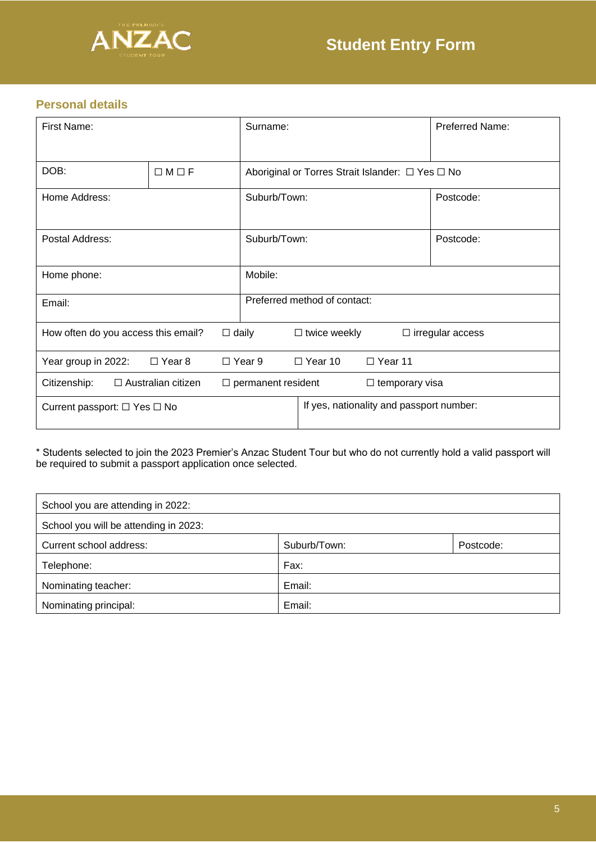

# **Personal details**

| First Name:                               |  | Surname:                                           |                                  | Preferred Name:                          |  |                         |
|-------------------------------------------|--|----------------------------------------------------|----------------------------------|------------------------------------------|--|-------------------------|
| DOB:<br>$\Box M \Box F$                   |  | Aboriginal or Torres Strait Islander: □ Yes □ No   |                                  |                                          |  |                         |
| Home Address:                             |  | Suburb/Town:                                       |                                  | Postcode:                                |  |                         |
| Postal Address:                           |  | Suburb/Town:                                       |                                  | Postcode:                                |  |                         |
| Home phone:                               |  | Mobile:                                            |                                  |                                          |  |                         |
| Email:                                    |  |                                                    |                                  | Preferred method of contact:             |  |                         |
| How often do you access this email?       |  | $\Box$ daily                                       |                                  | $\Box$ twice weekly                      |  | $\Box$ irregular access |
| $\Box$ Year 8<br>Year group in 2022:      |  | $\Box$ Year 9                                      | $\Box$ Year 10<br>$\Box$ Year 11 |                                          |  |                         |
| Citizenship:<br>$\Box$ Australian citizen |  | $\Box$ permanent resident<br>$\Box$ temporary visa |                                  |                                          |  |                         |
| Current passport: $\Box$ Yes $\Box$ No    |  |                                                    |                                  | If yes, nationality and passport number: |  |                         |

\* Students selected to join the 2023 Premier's Anzac Student Tour but who do not currently hold a valid passport will be required to submit a passport application once selected.

| School you are attending in 2022:     |              |           |
|---------------------------------------|--------------|-----------|
| School you will be attending in 2023: |              |           |
| Current school address:               | Suburb/Town: | Postcode: |
| Telephone:                            | Fax:         |           |
| Nominating teacher:                   | Email:       |           |
| Nominating principal:                 | Email:       |           |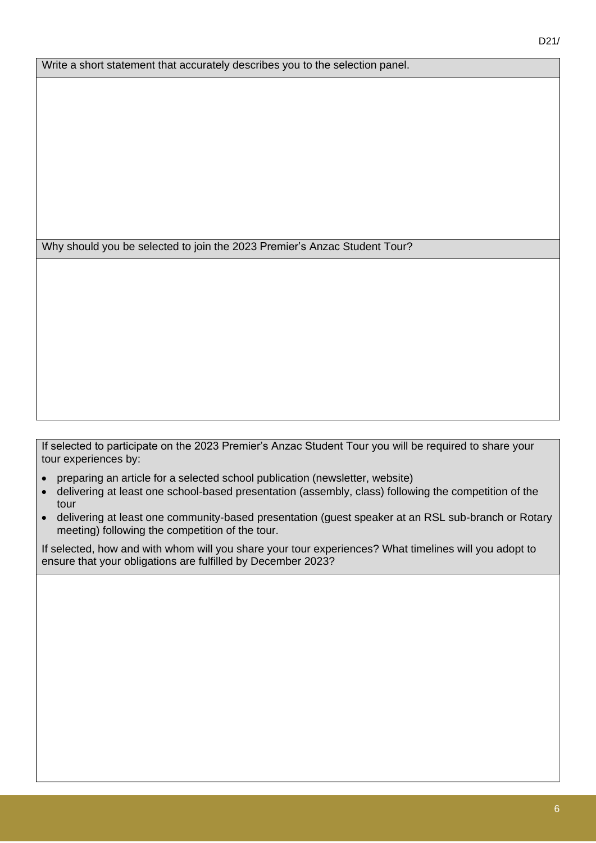Why should you be selected to join the 2023 Premier's Anzac Student Tour?

If selected to participate on the 2023 Premier's Anzac Student Tour you will be required to share your tour experiences by:

- preparing an article for a selected school publication (newsletter, website)
- delivering at least one school-based presentation (assembly, class) following the competition of the tour
- delivering at least one community-based presentation (guest speaker at an RSL sub-branch or Rotary meeting) following the competition of the tour.

If selected, how and with whom will you share your tour experiences? What timelines will you adopt to ensure that your obligations are fulfilled by December 2023?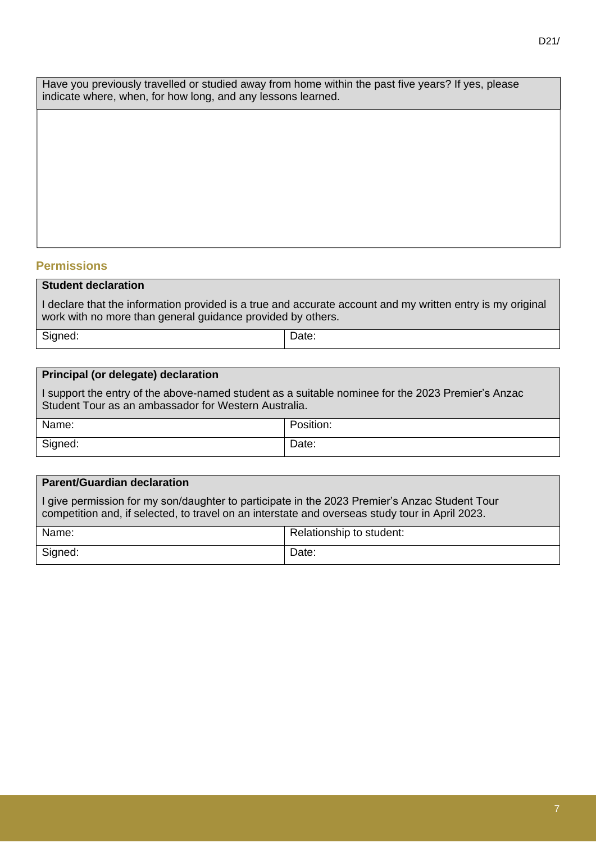Have you previously travelled or studied away from home within the past five years? If yes, please indicate where, when, for how long, and any lessons learned.

### **Permissions**

#### **Student declaration**

I declare that the information provided is a true and accurate account and my written entry is my original work with no more than general guidance provided by others.

Signed:  $\vert$  Date:

#### **Principal (or delegate) declaration**

I support the entry of the above-named student as a suitable nominee for the 2023 Premier's Anzac Student Tour as an ambassador for Western Australia.

| Name:   | Position: |
|---------|-----------|
| Signed: | Date:     |

# **Parent/Guardian declaration**

I give permission for my son/daughter to participate in the 2023 Premier's Anzac Student Tour competition and, if selected, to travel on an interstate and overseas study tour in April 2023.

| Name:   | Relationship to student: |
|---------|--------------------------|
| Signed: | Date:                    |